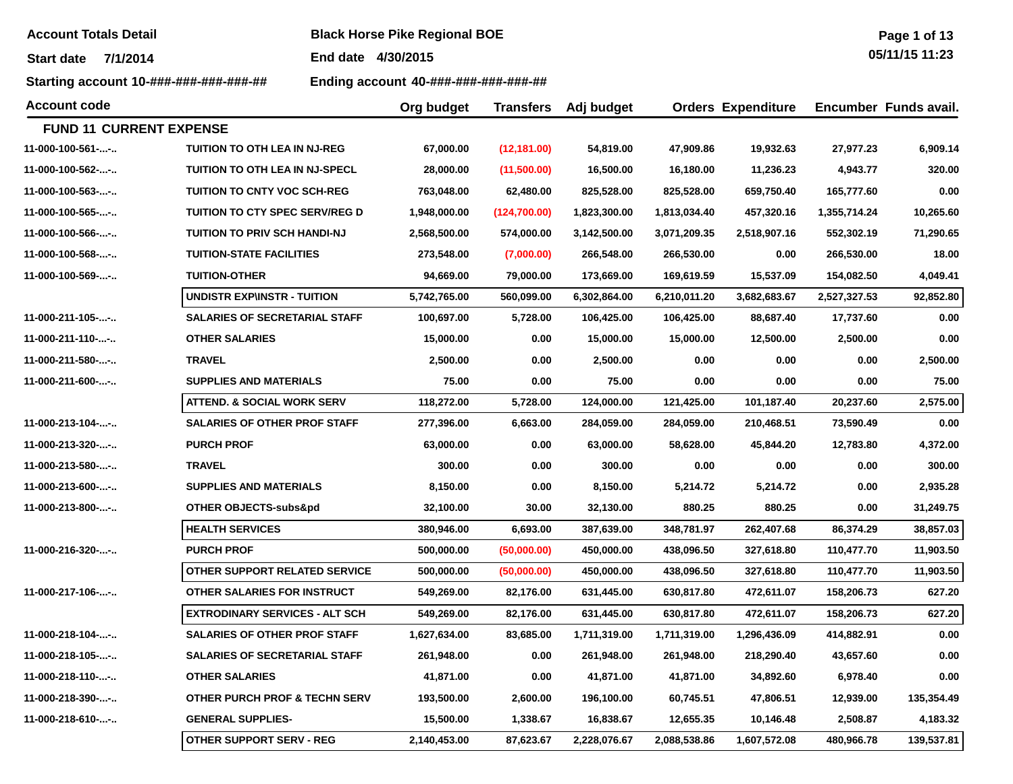**Account Totals Detail Black Horse Pike Regional BOE** 

**End date 4/30/2015**

**Starting account 10-###-###-###-###-## Ending account 40-###-###-###-###-##**

| <b>Account code</b>            |                                          | Org budget   | <b>Transfers</b> | Adj budget   |              | <b>Orders Expenditure</b> |              | Encumber Funds avail. |
|--------------------------------|------------------------------------------|--------------|------------------|--------------|--------------|---------------------------|--------------|-----------------------|
| <b>FUND 11 CURRENT EXPENSE</b> |                                          |              |                  |              |              |                           |              |                       |
| 11-000-100-561--               | <b>TUITION TO OTH LEA IN NJ-REG</b>      | 67,000.00    | (12, 181.00)     | 54,819.00    | 47,909.86    | 19,932.63                 | 27,977.23    | 6,909.14              |
| 11-000-100-562--               | <b>TUITION TO OTH LEA IN NJ-SPECL</b>    | 28,000.00    | (11,500.00)      | 16,500.00    | 16,180.00    | 11,236.23                 | 4,943.77     | 320.00                |
| 11-000-100-563--               | <b>TUITION TO CNTY VOC SCH-REG</b>       | 763,048.00   | 62,480.00        | 825,528.00   | 825,528.00   | 659,750.40                | 165,777.60   | 0.00                  |
| 11-000-100-565--               | <b>TUITION TO CTY SPEC SERV/REG D</b>    | 1,948,000.00 | (124,700.00)     | 1,823,300.00 | 1,813,034.40 | 457,320.16                | 1,355,714.24 | 10,265.60             |
| 11-000-100-566--               | <b>TUITION TO PRIV SCH HANDI-NJ</b>      | 2,568,500.00 | 574,000.00       | 3,142,500.00 | 3,071,209.35 | 2,518,907.16              | 552,302.19   | 71,290.65             |
| 11-000-100-568--               | <b>TUITION-STATE FACILITIES</b>          | 273,548.00   | (7,000.00)       | 266,548.00   | 266,530.00   | 0.00                      | 266,530.00   | 18.00                 |
| 11-000-100-569--               | <b>TUITION-OTHER</b>                     | 94,669.00    | 79,000.00        | 173,669.00   | 169,619.59   | 15,537.09                 | 154,082.50   | 4,049.41              |
|                                | <b>UNDISTR EXP\INSTR - TUITION</b>       | 5,742,765.00 | 560,099.00       | 6,302,864.00 | 6,210,011.20 | 3,682,683.67              | 2,527,327.53 | 92,852.80             |
| 11-000-211-105--               | <b>SALARIES OF SECRETARIAL STAFF</b>     | 100,697.00   | 5,728.00         | 106,425.00   | 106,425.00   | 88,687.40                 | 17,737.60    | 0.00                  |
| 11-000-211-110--               | <b>OTHER SALARIES</b>                    | 15,000.00    | 0.00             | 15,000.00    | 15,000.00    | 12,500.00                 | 2,500.00     | 0.00                  |
| 11-000-211-580--               | <b>TRAVEL</b>                            | 2,500.00     | 0.00             | 2,500.00     | 0.00         | 0.00                      | 0.00         | 2,500.00              |
| 11-000-211-600--               | <b>SUPPLIES AND MATERIALS</b>            | 75.00        | 0.00             | 75.00        | 0.00         | 0.00                      | 0.00         | 75.00                 |
|                                | <b>ATTEND. &amp; SOCIAL WORK SERV</b>    | 118,272.00   | 5,728.00         | 124,000.00   | 121,425.00   | 101,187.40                | 20,237.60    | 2,575.00              |
| 11-000-213-104--               | <b>SALARIES OF OTHER PROF STAFF</b>      | 277,396.00   | 6,663.00         | 284,059.00   | 284,059.00   | 210,468.51                | 73,590.49    | 0.00                  |
| 11-000-213-320--               | <b>PURCH PROF</b>                        | 63,000.00    | 0.00             | 63,000.00    | 58,628.00    | 45,844.20                 | 12,783.80    | 4,372.00              |
| 11-000-213-580--               | <b>TRAVEL</b>                            | 300.00       | 0.00             | 300.00       | 0.00         | 0.00                      | 0.00         | 300.00                |
| 11-000-213-600--               | <b>SUPPLIES AND MATERIALS</b>            | 8,150.00     | 0.00             | 8,150.00     | 5,214.72     | 5,214.72                  | 0.00         | 2,935.28              |
| 11-000-213-800--               | OTHER OBJECTS-subs&pd                    | 32,100.00    | 30.00            | 32,130.00    | 880.25       | 880.25                    | 0.00         | 31,249.75             |
|                                | <b>HEALTH SERVICES</b>                   | 380,946.00   | 6,693.00         | 387,639.00   | 348,781.97   | 262,407.68                | 86,374.29    | 38,857.03             |
| 11-000-216-320--               | <b>PURCH PROF</b>                        | 500,000.00   | (50,000.00)      | 450,000.00   | 438,096.50   | 327,618.80                | 110,477.70   | 11,903.50             |
|                                | OTHER SUPPORT RELATED SERVICE            | 500,000.00   | (50,000.00)      | 450,000.00   | 438,096.50   | 327,618.80                | 110,477.70   | 11,903.50             |
| 11-000-217-106--               | OTHER SALARIES FOR INSTRUCT              | 549,269.00   | 82,176.00        | 631,445.00   | 630,817.80   | 472,611.07                | 158,206.73   | 627.20                |
|                                | <b>EXTRODINARY SERVICES - ALT SCH</b>    | 549,269.00   | 82,176.00        | 631,445.00   | 630,817.80   | 472,611.07                | 158,206.73   | 627.20                |
| 11-000-218-104--               | <b>SALARIES OF OTHER PROF STAFF</b>      | 1,627,634.00 | 83,685.00        | 1,711,319.00 | 1,711,319.00 | 1,296,436.09              | 414,882.91   | 0.00                  |
| 11-000-218-105--               | <b>SALARIES OF SECRETARIAL STAFF</b>     | 261,948.00   | 0.00             | 261,948.00   | 261,948.00   | 218,290.40                | 43,657.60    | 0.00                  |
| 11-000-218-110--               | <b>OTHER SALARIES</b>                    | 41,871.00    | 0.00             | 41,871.00    | 41,871.00    | 34,892.60                 | 6,978.40     | 0.00                  |
| 11-000-218-390--               | <b>OTHER PURCH PROF &amp; TECHN SERV</b> | 193,500.00   | 2,600.00         | 196,100.00   | 60,745.51    | 47,806.51                 | 12,939.00    | 135,354.49            |
| 11-000-218-610--               | <b>GENERAL SUPPLIES-</b>                 | 15,500.00    | 1,338.67         | 16,838.67    | 12,655.35    | 10,146.48                 | 2,508.87     | 4,183.32              |
|                                | <b>OTHER SUPPORT SERV - REG</b>          | 2,140,453.00 | 87,623.67        | 2,228,076.67 | 2,088,538.86 | 1,607,572.08              | 480,966.78   | 139,537.81            |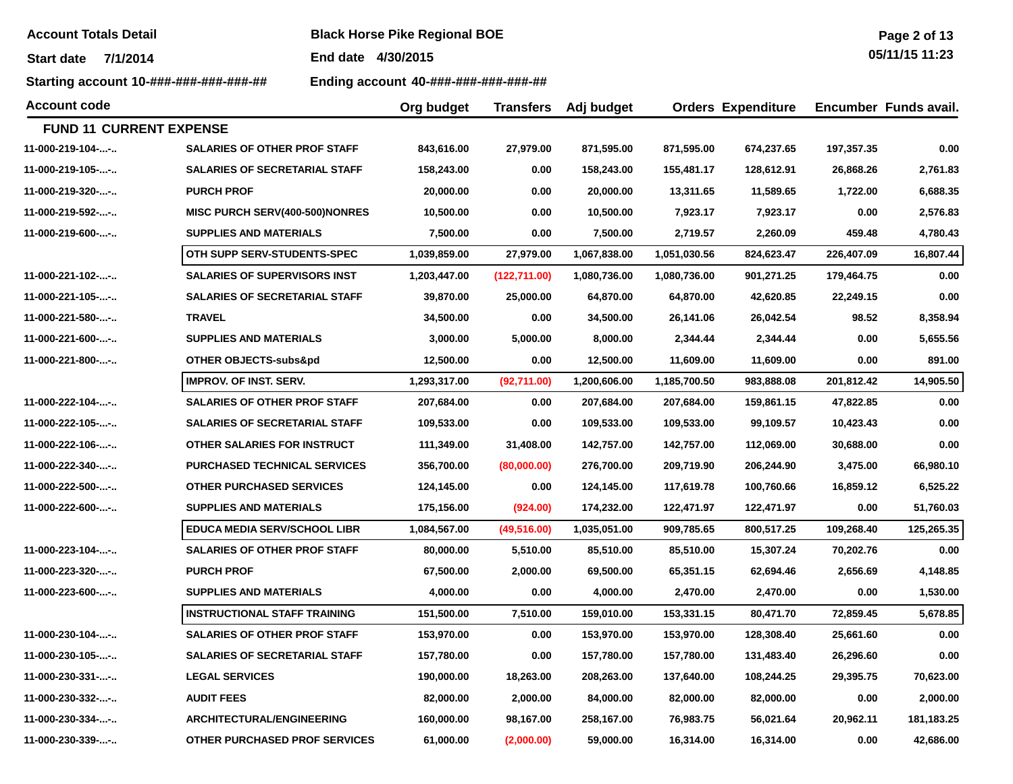**Account Totals Detail Black Horse Pike Regional BOE** 

**End date 4/30/2015**

**Starting account 10-###-###-###-###-## Ending account 40-###-###-###-###-##**

| Page 2 of 13 |  |  |
|--------------|--|--|
| ----------   |  |  |

| <b>Account code</b>            |                                       | Org budget   | <b>Transfers</b> | Adj budget   |              | <b>Orders Expenditure</b> |            | Encumber Funds avail. |
|--------------------------------|---------------------------------------|--------------|------------------|--------------|--------------|---------------------------|------------|-----------------------|
| <b>FUND 11 CURRENT EXPENSE</b> |                                       |              |                  |              |              |                           |            |                       |
| 11-000-219-104--               | <b>SALARIES OF OTHER PROF STAFF</b>   | 843,616.00   | 27,979.00        | 871,595.00   | 871,595.00   | 674,237.65                | 197,357.35 | 0.00                  |
| 11-000-219-105--               | <b>SALARIES OF SECRETARIAL STAFF</b>  | 158,243.00   | 0.00             | 158,243.00   | 155,481.17   | 128,612.91                | 26,868.26  | 2,761.83              |
| 11-000-219-320--               | <b>PURCH PROF</b>                     | 20,000.00    | 0.00             | 20,000.00    | 13,311.65    | 11,589.65                 | 1,722.00   | 6,688.35              |
| 11-000-219-592--               | <b>MISC PURCH SERV(400-500)NONRES</b> | 10,500.00    | 0.00             | 10,500.00    | 7,923.17     | 7,923.17                  | 0.00       | 2,576.83              |
| 11-000-219-600--               | <b>SUPPLIES AND MATERIALS</b>         | 7,500.00     | 0.00             | 7,500.00     | 2,719.57     | 2,260.09                  | 459.48     | 4,780.43              |
|                                | OTH SUPP SERV-STUDENTS-SPEC           | 1,039,859.00 | 27,979.00        | 1,067,838.00 | 1,051,030.56 | 824,623.47                | 226,407.09 | 16,807.44             |
| 11-000-221-102--               | <b>SALARIES OF SUPERVISORS INST</b>   | 1,203,447.00 | (122, 711.00)    | 1,080,736.00 | 1,080,736.00 | 901,271.25                | 179,464.75 | 0.00                  |
| 11-000-221-105--               | <b>SALARIES OF SECRETARIAL STAFF</b>  | 39,870.00    | 25,000.00        | 64,870.00    | 64,870.00    | 42,620.85                 | 22,249.15  | 0.00                  |
| 11-000-221-580--               | <b>TRAVEL</b>                         | 34,500.00    | 0.00             | 34,500.00    | 26,141.06    | 26,042.54                 | 98.52      | 8,358.94              |
| 11-000-221-600--               | <b>SUPPLIES AND MATERIALS</b>         | 3,000.00     | 5,000.00         | 8,000.00     | 2,344.44     | 2,344.44                  | 0.00       | 5,655.56              |
| 11-000-221-800--               | OTHER OBJECTS-subs&pd                 | 12,500.00    | 0.00             | 12,500.00    | 11,609.00    | 11,609.00                 | 0.00       | 891.00                |
|                                | <b>IMPROV. OF INST. SERV.</b>         | 1,293,317.00 | (92, 711.00)     | 1,200,606.00 | 1,185,700.50 | 983,888.08                | 201,812.42 | 14,905.50             |
| 11-000-222-104--               | <b>SALARIES OF OTHER PROF STAFF</b>   | 207,684.00   | 0.00             | 207,684.00   | 207,684.00   | 159,861.15                | 47,822.85  | 0.00                  |
| 11-000-222-105--               | <b>SALARIES OF SECRETARIAL STAFF</b>  | 109,533.00   | 0.00             | 109,533.00   | 109,533.00   | 99,109.57                 | 10,423.43  | 0.00                  |
| 11-000-222-106--               | OTHER SALARIES FOR INSTRUCT           | 111,349.00   | 31,408.00        | 142,757.00   | 142,757.00   | 112,069.00                | 30,688.00  | 0.00                  |
| 11-000-222-340--               | <b>PURCHASED TECHNICAL SERVICES</b>   | 356,700.00   | (80,000.00)      | 276,700.00   | 209,719.90   | 206,244.90                | 3,475.00   | 66,980.10             |
| 11-000-222-500--               | <b>OTHER PURCHASED SERVICES</b>       | 124,145.00   | 0.00             | 124,145.00   | 117,619.78   | 100,760.66                | 16,859.12  | 6,525.22              |
| 11-000-222-600--               | <b>SUPPLIES AND MATERIALS</b>         | 175,156.00   | (924.00)         | 174,232.00   | 122,471.97   | 122,471.97                | 0.00       | 51,760.03             |
|                                | <b>EDUCA MEDIA SERV/SCHOOL LIBR</b>   | 1,084,567.00 | (49, 516.00)     | 1,035,051.00 | 909,785.65   | 800,517.25                | 109,268.40 | 125,265.35            |
| 11-000-223-104--               | SALARIES OF OTHER PROF STAFF          | 80,000.00    | 5,510.00         | 85,510.00    | 85,510.00    | 15,307.24                 | 70,202.76  | 0.00                  |
| 11-000-223-320--               | <b>PURCH PROF</b>                     | 67,500.00    | 2,000.00         | 69,500.00    | 65,351.15    | 62,694.46                 | 2,656.69   | 4,148.85              |
| 11-000-223-600--               | <b>SUPPLIES AND MATERIALS</b>         | 4,000.00     | 0.00             | 4,000.00     | 2,470.00     | 2,470.00                  | 0.00       | 1,530.00              |
|                                | <b>INSTRUCTIONAL STAFF TRAINING</b>   | 151,500.00   | 7,510.00         | 159,010.00   | 153,331.15   | 80,471.70                 | 72,859.45  | 5,678.85              |
| 11-000-230-104--               | SALARIES OF OTHER PROF STAFF          | 153,970.00   | 0.00             | 153,970.00   | 153,970.00   | 128,308.40                | 25,661.60  | 0.00                  |
| 11-000-230-105--               | <b>SALARIES OF SECRETARIAL STAFF</b>  | 157,780.00   | 0.00             | 157,780.00   | 157,780.00   | 131,483.40                | 26,296.60  | 0.00                  |
| 11-000-230-331--               | <b>LEGAL SERVICES</b>                 | 190,000.00   | 18,263.00        | 208,263.00   | 137,640.00   | 108,244.25                | 29,395.75  | 70,623.00             |
| 11-000-230-332--               | <b>AUDIT FEES</b>                     | 82,000.00    | 2,000.00         | 84,000.00    | 82,000.00    | 82,000.00                 | 0.00       | 2,000.00              |
| 11-000-230-334--               | <b>ARCHITECTURAL/ENGINEERING</b>      | 160,000.00   | 98,167.00        | 258,167.00   | 76,983.75    | 56,021.64                 | 20,962.11  | 181, 183. 25          |
| 11-000-230-339--               | OTHER PURCHASED PROF SERVICES         | 61,000.00    | (2,000.00)       | 59,000.00    | 16,314.00    | 16,314.00                 | 0.00       | 42,686.00             |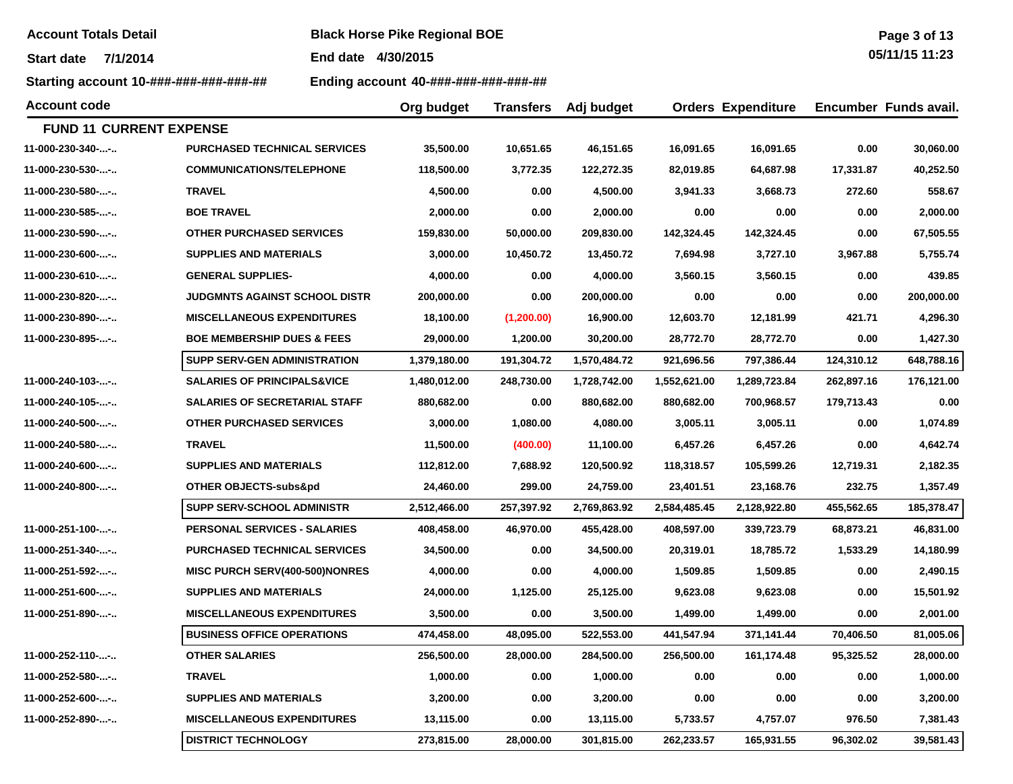**Account Totals Detail Black Horse Pike Regional BOE** 

**End date 4/30/2015**

**Starting account 10-###-###-###-###-## Ending account 40-###-###-###-###-##**

| Page 3 of 13       |  |  |
|--------------------|--|--|
| $5 - 11111 - 1100$ |  |  |

| <b>Account code</b>            |                                        | Org budget   | <b>Transfers</b> | Adj budget   |              | <b>Orders Expenditure</b> |            | Encumber Funds avail. |
|--------------------------------|----------------------------------------|--------------|------------------|--------------|--------------|---------------------------|------------|-----------------------|
| <b>FUND 11 CURRENT EXPENSE</b> |                                        |              |                  |              |              |                           |            |                       |
| 11-000-230-340--               | <b>PURCHASED TECHNICAL SERVICES</b>    | 35,500.00    | 10,651.65        | 46,151.65    | 16,091.65    | 16,091.65                 | 0.00       | 30.060.00             |
| 11-000-230-530--               | <b>COMMUNICATIONS/TELEPHONE</b>        | 118,500.00   | 3,772.35         | 122,272.35   | 82,019.85    | 64,687.98                 | 17,331.87  | 40,252.50             |
| 11-000-230-580--               | <b>TRAVEL</b>                          | 4,500.00     | 0.00             | 4,500.00     | 3,941.33     | 3,668.73                  | 272.60     | 558.67                |
| 11-000-230-585--               | <b>BOE TRAVEL</b>                      | 2,000.00     | 0.00             | 2,000.00     | 0.00         | 0.00                      | 0.00       | 2,000.00              |
| 11-000-230-590--               | <b>OTHER PURCHASED SERVICES</b>        | 159,830.00   | 50,000.00        | 209,830.00   | 142,324.45   | 142,324.45                | 0.00       | 67,505.55             |
| 11-000-230-600--               | <b>SUPPLIES AND MATERIALS</b>          | 3,000.00     | 10,450.72        | 13,450.72    | 7,694.98     | 3,727.10                  | 3,967.88   | 5,755.74              |
| 11-000-230-610--               | <b>GENERAL SUPPLIES-</b>               | 4,000.00     | 0.00             | 4,000.00     | 3,560.15     | 3,560.15                  | 0.00       | 439.85                |
| 11-000-230-820--               | <b>JUDGMNTS AGAINST SCHOOL DISTR</b>   | 200,000.00   | 0.00             | 200,000.00   | 0.00         | 0.00                      | 0.00       | 200,000.00            |
| 11-000-230-890--               | <b>MISCELLANEOUS EXPENDITURES</b>      | 18,100.00    | (1, 200.00)      | 16,900.00    | 12,603.70    | 12,181.99                 | 421.71     | 4,296.30              |
| 11-000-230-895--               | <b>BOE MEMBERSHIP DUES &amp; FEES</b>  | 29,000.00    | 1,200.00         | 30,200.00    | 28,772.70    | 28,772.70                 | 0.00       | 1,427.30              |
|                                | <b>SUPP SERV-GEN ADMINISTRATION</b>    | 1,379,180.00 | 191,304.72       | 1,570,484.72 | 921,696.56   | 797,386.44                | 124,310.12 | 648,788.16            |
| 11-000-240-103--               | <b>SALARIES OF PRINCIPALS&amp;VICE</b> | 1,480,012.00 | 248,730.00       | 1,728,742.00 | 1,552,621.00 | 1,289,723.84              | 262,897.16 | 176,121.00            |
| 11-000-240-105--               | <b>SALARIES OF SECRETARIAL STAFF</b>   | 880,682.00   | 0.00             | 880,682.00   | 880,682.00   | 700,968.57                | 179,713.43 | 0.00                  |
| 11-000-240-500--               | <b>OTHER PURCHASED SERVICES</b>        | 3,000.00     | 1,080.00         | 4,080.00     | 3,005.11     | 3,005.11                  | 0.00       | 1,074.89              |
| 11-000-240-580--               | <b>TRAVEL</b>                          | 11,500.00    | (400.00)         | 11,100.00    | 6,457.26     | 6,457.26                  | 0.00       | 4,642.74              |
| 11-000-240-600--               | <b>SUPPLIES AND MATERIALS</b>          | 112,812.00   | 7,688.92         | 120,500.92   | 118,318.57   | 105,599.26                | 12,719.31  | 2,182.35              |
| 11-000-240-800--               | OTHER OBJECTS-subs&pd                  | 24,460.00    | 299.00           | 24,759.00    | 23,401.51    | 23,168.76                 | 232.75     | 1,357.49              |
|                                | <b>SUPP SERV-SCHOOL ADMINISTR</b>      | 2,512,466.00 | 257,397.92       | 2,769,863.92 | 2,584,485.45 | 2,128,922.80              | 455,562.65 | 185,378.47            |
| 11-000-251-100--               | <b>PERSONAL SERVICES - SALARIES</b>    | 408,458.00   | 46,970.00        | 455,428.00   | 408,597.00   | 339,723.79                | 68,873.21  | 46,831.00             |
| 11-000-251-340--               | <b>PURCHASED TECHNICAL SERVICES</b>    | 34,500.00    | 0.00             | 34,500.00    | 20,319.01    | 18,785.72                 | 1,533.29   | 14,180.99             |
| 11-000-251-592--               | <b>MISC PURCH SERV(400-500)NONRES</b>  | 4,000.00     | 0.00             | 4,000.00     | 1,509.85     | 1,509.85                  | 0.00       | 2,490.15              |
| 11-000-251-600--               | <b>SUPPLIES AND MATERIALS</b>          | 24,000.00    | 1,125.00         | 25,125.00    | 9,623.08     | 9,623.08                  | 0.00       | 15,501.92             |
| 11-000-251-890--               | <b>MISCELLANEOUS EXPENDITURES</b>      | 3,500.00     | 0.00             | 3,500.00     | 1,499.00     | 1,499.00                  | 0.00       | 2,001.00              |
|                                | <b>BUSINESS OFFICE OPERATIONS</b>      | 474,458.00   | 48,095.00        | 522,553.00   | 441,547.94   | 371,141.44                | 70,406.50  | 81,005.06             |
| 11-000-252-110--               | <b>OTHER SALARIES</b>                  | 256,500.00   | 28,000.00        | 284,500.00   | 256,500.00   | 161,174.48                | 95,325.52  | 28,000.00             |
| 11-000-252-580--               | <b>TRAVEL</b>                          | 1,000.00     | 0.00             | 1,000.00     | 0.00         | 0.00                      | 0.00       | 1,000.00              |
| 11-000-252-600--               | <b>SUPPLIES AND MATERIALS</b>          | 3,200.00     | 0.00             | 3,200.00     | 0.00         | 0.00                      | 0.00       | 3,200.00              |
| 11-000-252-890--               | <b>MISCELLANEOUS EXPENDITURES</b>      | 13,115.00    | 0.00             | 13,115.00    | 5,733.57     | 4,757.07                  | 976.50     | 7,381.43              |
|                                | <b>DISTRICT TECHNOLOGY</b>             | 273,815.00   | 28,000.00        | 301,815.00   | 262,233.57   | 165,931.55                | 96,302.02  | 39,581.43             |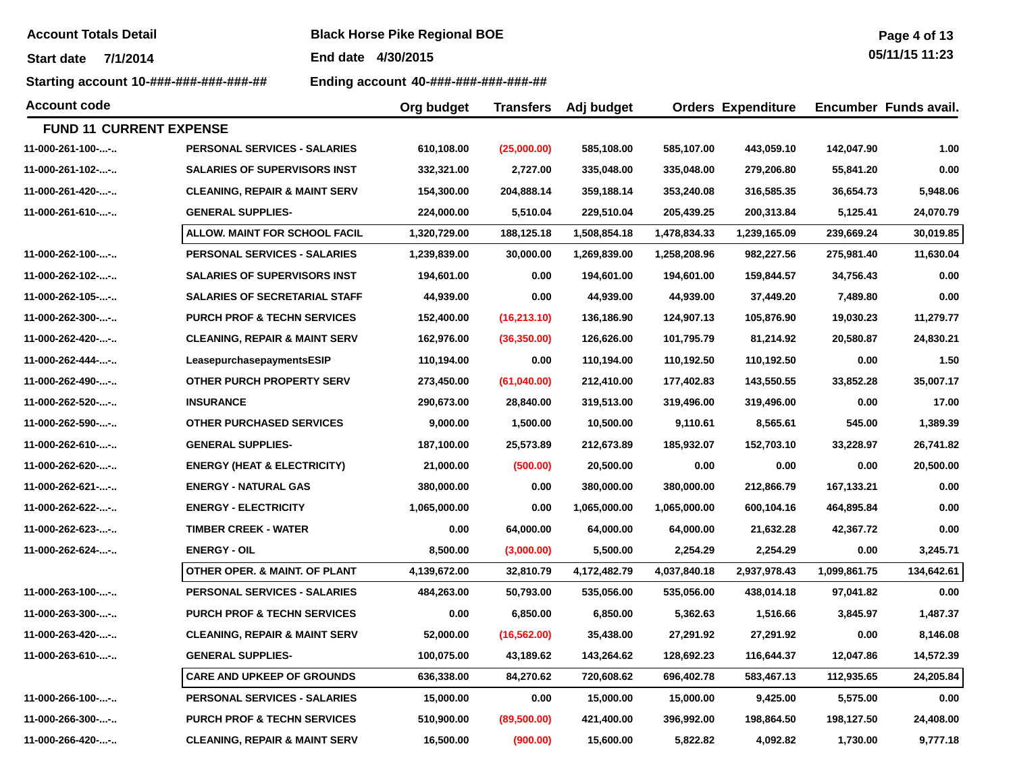**Account Totals Detail Black Horse Pike Regional BOE** 

**End date 4/30/2015**

**Starting account 10-###-###-###-###-## Ending account 40-###-###-###-###-##**

| Page 4 of 13 |  |  |
|--------------|--|--|
| ----------   |  |  |

| <b>Account code</b>            |                                          | Org budget   | <b>Transfers</b> | Adj budget   |              | <b>Orders Expenditure</b> |              | Encumber Funds avail. |
|--------------------------------|------------------------------------------|--------------|------------------|--------------|--------------|---------------------------|--------------|-----------------------|
| <b>FUND 11 CURRENT EXPENSE</b> |                                          |              |                  |              |              |                           |              |                       |
| 11-000-261-100--               | <b>PERSONAL SERVICES - SALARIES</b>      | 610,108.00   | (25,000.00)      | 585,108.00   | 585,107.00   | 443,059.10                | 142,047.90   | 1.00                  |
| 11-000-261-102--               | <b>SALARIES OF SUPERVISORS INST</b>      | 332,321.00   | 2,727.00         | 335,048.00   | 335,048.00   | 279,206.80                | 55,841.20    | 0.00                  |
| 11-000-261-420--               | <b>CLEANING, REPAIR &amp; MAINT SERV</b> | 154,300.00   | 204,888.14       | 359,188.14   | 353,240.08   | 316,585.35                | 36,654.73    | 5,948.06              |
| 11-000-261-610--               | <b>GENERAL SUPPLIES-</b>                 | 224,000.00   | 5,510.04         | 229,510.04   | 205,439.25   | 200,313.84                | 5,125.41     | 24,070.79             |
|                                | ALLOW. MAINT FOR SCHOOL FACIL            | 1,320,729.00 | 188,125.18       | 1,508,854.18 | 1,478,834.33 | 1,239,165.09              | 239,669.24   | 30,019.85             |
| 11-000-262-100--               | <b>PERSONAL SERVICES - SALARIES</b>      | 1,239,839.00 | 30,000.00        | 1,269,839.00 | 1,258,208.96 | 982,227.56                | 275,981.40   | 11,630.04             |
| 11-000-262-102--               | <b>SALARIES OF SUPERVISORS INST</b>      | 194,601.00   | 0.00             | 194,601.00   | 194,601.00   | 159,844.57                | 34,756.43    | 0.00                  |
| 11-000-262-105--               | <b>SALARIES OF SECRETARIAL STAFF</b>     | 44,939.00    | 0.00             | 44,939.00    | 44,939.00    | 37,449.20                 | 7,489.80     | 0.00                  |
| 11-000-262-300--               | <b>PURCH PROF &amp; TECHN SERVICES</b>   | 152,400.00   | (16, 213.10)     | 136,186.90   | 124,907.13   | 105,876.90                | 19,030.23    | 11,279.77             |
| 11-000-262-420--               | <b>CLEANING, REPAIR &amp; MAINT SERV</b> | 162,976.00   | (36, 350.00)     | 126,626.00   | 101,795.79   | 81,214.92                 | 20,580.87    | 24,830.21             |
| 11-000-262-444--               | LeasepurchasepaymentsESIP                | 110,194.00   | 0.00             | 110,194.00   | 110,192.50   | 110,192.50                | 0.00         | 1.50                  |
| 11-000-262-490--               | OTHER PURCH PROPERTY SERV                | 273,450.00   | (61,040.00)      | 212,410.00   | 177,402.83   | 143,550.55                | 33,852.28    | 35,007.17             |
| 11-000-262-520--               | <b>INSURANCE</b>                         | 290,673.00   | 28,840.00        | 319,513.00   | 319,496.00   | 319,496.00                | 0.00         | 17.00                 |
| 11-000-262-590--               | <b>OTHER PURCHASED SERVICES</b>          | 9,000.00     | 1,500.00         | 10,500.00    | 9,110.61     | 8,565.61                  | 545.00       | 1,389.39              |
| 11-000-262-610--               | <b>GENERAL SUPPLIES-</b>                 | 187,100.00   | 25,573.89        | 212,673.89   | 185,932.07   | 152,703.10                | 33,228.97    | 26,741.82             |
| 11-000-262-620--               | <b>ENERGY (HEAT &amp; ELECTRICITY)</b>   | 21,000.00    | (500.00)         | 20,500.00    | 0.00         | 0.00                      | 0.00         | 20,500.00             |
| 11-000-262-621--               | <b>ENERGY - NATURAL GAS</b>              | 380,000.00   | 0.00             | 380,000.00   | 380,000.00   | 212,866.79                | 167,133.21   | 0.00                  |
| 11-000-262-622--               | <b>ENERGY - ELECTRICITY</b>              | 1,065,000.00 | 0.00             | 1,065,000.00 | 1,065,000.00 | 600,104.16                | 464,895.84   | 0.00                  |
| 11-000-262-623--               | <b>TIMBER CREEK - WATER</b>              | 0.00         | 64,000.00        | 64,000.00    | 64,000.00    | 21,632.28                 | 42,367.72    | 0.00                  |
| 11-000-262-624--               | <b>ENERGY - OIL</b>                      | 8,500.00     | (3,000.00)       | 5,500.00     | 2,254.29     | 2,254.29                  | 0.00         | 3,245.71              |
|                                | <b>OTHER OPER, &amp; MAINT, OF PLANT</b> | 4,139,672.00 | 32,810.79        | 4,172,482.79 | 4,037,840.18 | 2,937,978.43              | 1,099,861.75 | 134,642.61            |
| 11-000-263-100--               | <b>PERSONAL SERVICES - SALARIES</b>      | 484,263.00   | 50,793.00        | 535,056.00   | 535,056.00   | 438,014.18                | 97,041.82    | 0.00                  |
| 11-000-263-300--               | <b>PURCH PROF &amp; TECHN SERVICES</b>   | 0.00         | 6,850.00         | 6,850.00     | 5,362.63     | 1,516.66                  | 3,845.97     | 1,487.37              |
| 11-000-263-420--               | <b>CLEANING, REPAIR &amp; MAINT SERV</b> | 52,000.00    | (16, 562.00)     | 35,438.00    | 27,291.92    | 27,291.92                 | 0.00         | 8,146.08              |
| 11-000-263-610--               | <b>GENERAL SUPPLIES-</b>                 | 100,075.00   | 43,189.62        | 143,264.62   | 128,692.23   | 116,644.37                | 12,047.86    | 14,572.39             |
|                                | <b>CARE AND UPKEEP OF GROUNDS</b>        | 636,338.00   | 84,270.62        | 720,608.62   | 696,402.78   | 583,467.13                | 112,935.65   | 24,205.84             |
| 11-000-266-100--               | <b>PERSONAL SERVICES - SALARIES</b>      | 15,000.00    | 0.00             | 15,000.00    | 15,000.00    | 9,425.00                  | 5,575.00     | 0.00                  |
| 11-000-266-300--               | <b>PURCH PROF &amp; TECHN SERVICES</b>   | 510,900.00   | (89,500.00)      | 421,400.00   | 396,992.00   | 198,864.50                | 198,127.50   | 24,408.00             |
| 11-000-266-420--               | <b>CLEANING, REPAIR &amp; MAINT SERV</b> | 16,500.00    | (900.00)         | 15,600.00    | 5,822.82     | 4,092.82                  | 1,730.00     | 9,777.18              |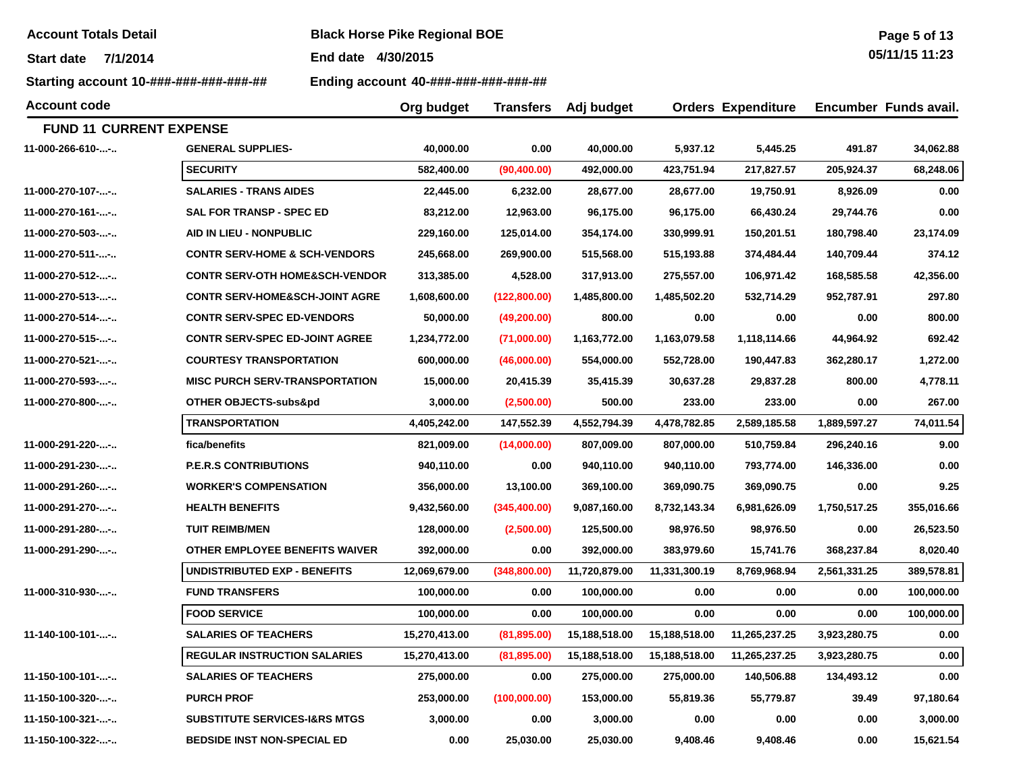| <b>Account Totals Detail</b> |  |  |
|------------------------------|--|--|
|------------------------------|--|--|

**Account Totals Detail Black Horse Pike Regional BOE** 

**Start date 7/1/2014End date 4/30/2015**

**Starting account 10-###-###-###-###-## Ending account 40-###-###-###-###-##**

| <b>Account code</b>            |                                           | Org budget    | <b>Transfers</b> | Adj budget    |               | <b>Orders Expenditure</b> |              | Encumber Funds avail. |
|--------------------------------|-------------------------------------------|---------------|------------------|---------------|---------------|---------------------------|--------------|-----------------------|
| <b>FUND 11 CURRENT EXPENSE</b> |                                           |               |                  |               |               |                           |              |                       |
| 11-000-266-610--               | <b>GENERAL SUPPLIES-</b>                  | 40,000.00     | 0.00             | 40,000.00     | 5,937.12      | 5,445.25                  | 491.87       | 34,062.88             |
|                                | <b>SECURITY</b>                           | 582,400.00    | (90, 400.00)     | 492,000.00    | 423,751.94    | 217,827.57                | 205,924.37   | 68,248.06             |
| 11-000-270-107--               | <b>SALARIES - TRANS AIDES</b>             | 22,445.00     | 6,232.00         | 28,677.00     | 28,677.00     | 19,750.91                 | 8,926.09     | 0.00                  |
| 11-000-270-161--               | <b>SAL FOR TRANSP - SPEC ED</b>           | 83,212.00     | 12,963.00        | 96,175.00     | 96,175.00     | 66,430.24                 | 29,744.76    | 0.00                  |
| 11-000-270-503--               | AID IN LIEU - NONPUBLIC                   | 229,160.00    | 125,014.00       | 354,174.00    | 330,999.91    | 150,201.51                | 180,798.40   | 23,174.09             |
| 11-000-270-511--               | <b>CONTR SERV-HOME &amp; SCH-VENDORS</b>  | 245,668.00    | 269,900.00       | 515,568.00    | 515,193.88    | 374,484.44                | 140,709.44   | 374.12                |
| 11-000-270-512--               | <b>CONTR SERV-OTH HOME&amp;SCH-VENDOR</b> | 313,385.00    | 4,528.00         | 317,913.00    | 275,557.00    | 106,971.42                | 168,585.58   | 42,356.00             |
| 11-000-270-513--               | <b>CONTR SERV-HOME&amp;SCH-JOINT AGRE</b> | 1,608,600.00  | (122,800.00)     | 1,485,800.00  | 1,485,502.20  | 532,714.29                | 952,787.91   | 297.80                |
| 11-000-270-514--               | <b>CONTR SERV-SPEC ED-VENDORS</b>         | 50,000.00     | (49, 200.00)     | 800.00        | 0.00          | 0.00                      | 0.00         | 800.00                |
| 11-000-270-515--               | <b>CONTR SERV-SPEC ED-JOINT AGREE</b>     | 1,234,772.00  | (71,000.00)      | 1,163,772.00  | 1,163,079.58  | 1,118,114.66              | 44,964.92    | 692.42                |
| 11-000-270-521--               | <b>COURTESY TRANSPORTATION</b>            | 600,000.00    | (46,000.00)      | 554,000.00    | 552,728.00    | 190,447.83                | 362,280.17   | 1,272.00              |
| 11-000-270-593--               | <b>MISC PURCH SERV-TRANSPORTATION</b>     | 15,000.00     | 20,415.39        | 35,415.39     | 30,637.28     | 29,837.28                 | 800.00       | 4,778.11              |
| 11-000-270-800--               | <b>OTHER OBJECTS-subs&amp;pd</b>          | 3,000.00      | (2,500.00)       | 500.00        | 233.00        | 233.00                    | 0.00         | 267.00                |
|                                | <b>TRANSPORTATION</b>                     | 4,405,242.00  | 147,552.39       | 4,552,794.39  | 4,478,782.85  | 2,589,185.58              | 1,889,597.27 | 74,011.54             |
| 11-000-291-220--               | fica/benefits                             | 821,009.00    | (14,000.00)      | 807,009.00    | 807,000.00    | 510,759.84                | 296,240.16   | 9.00                  |
| 11-000-291-230--               | <b>P.E.R.S CONTRIBUTIONS</b>              | 940,110.00    | 0.00             | 940,110.00    | 940,110.00    | 793,774.00                | 146,336.00   | 0.00                  |
| 11-000-291-260--               | <b>WORKER'S COMPENSATION</b>              | 356,000.00    | 13,100.00        | 369,100.00    | 369,090.75    | 369,090.75                | 0.00         | 9.25                  |
| 11-000-291-270--               | <b>HEALTH BENEFITS</b>                    | 9,432,560.00  | (345, 400.00)    | 9,087,160.00  | 8,732,143.34  | 6,981,626.09              | 1,750,517.25 | 355,016.66            |
| 11-000-291-280--               | <b>TUIT REIMB/MEN</b>                     | 128,000.00    | (2,500.00)       | 125,500.00    | 98,976.50     | 98,976.50                 | 0.00         | 26,523.50             |
| 11-000-291-290--               | OTHER EMPLOYEE BENEFITS WAIVER            | 392,000.00    | 0.00             | 392,000.00    | 383,979.60    | 15,741.76                 | 368,237.84   | 8,020.40              |
|                                | <b>UNDISTRIBUTED EXP - BENEFITS</b>       | 12,069,679.00 | (348, 800.00)    | 11,720,879.00 | 11,331,300.19 | 8,769,968.94              | 2,561,331.25 | 389,578.81            |
| 11-000-310-930--               | <b>FUND TRANSFERS</b>                     | 100,000.00    | 0.00             | 100,000.00    | 0.00          | 0.00                      | 0.00         | 100,000.00            |
|                                | <b>FOOD SERVICE</b>                       | 100,000.00    | 0.00             | 100,000.00    | 0.00          | 0.00                      | 0.00         | 100,000.00            |
| $11 - 140 - 100 - 101 - \dots$ | <b>SALARIES OF TEACHERS</b>               | 15,270,413.00 | (81,895.00)      | 15,188,518.00 | 15,188,518.00 | 11,265,237.25             | 3,923,280.75 | 0.00                  |
|                                | <b>REGULAR INSTRUCTION SALARIES</b>       | 15,270,413.00 | (81,895.00)      | 15,188,518.00 | 15,188,518.00 | 11,265,237.25             | 3,923,280.75 | 0.00                  |
| 11-150-100-101--               | <b>SALARIES OF TEACHERS</b>               | 275,000.00    | 0.00             | 275,000.00    | 275,000.00    | 140,506.88                | 134,493.12   | 0.00                  |
| 11-150-100-320--               | <b>PURCH PROF</b>                         | 253,000.00    | (100,000.00)     | 153,000.00    | 55,819.36     | 55,779.87                 | 39.49        | 97,180.64             |
| 11-150-100-321--               | <b>SUBSTITUTE SERVICES-I&amp;RS MTGS</b>  | 3,000.00      | 0.00             | 3,000.00      | 0.00          | 0.00                      | 0.00         | 3,000.00              |
| 11-150-100-322--               | <b>BEDSIDE INST NON-SPECIAL ED</b>        | 0.00          | 25,030.00        | 25,030.00     | 9,408.46      | 9,408.46                  | 0.00         | 15,621.54             |

**Page 5 of 13 05/11/15 11:23**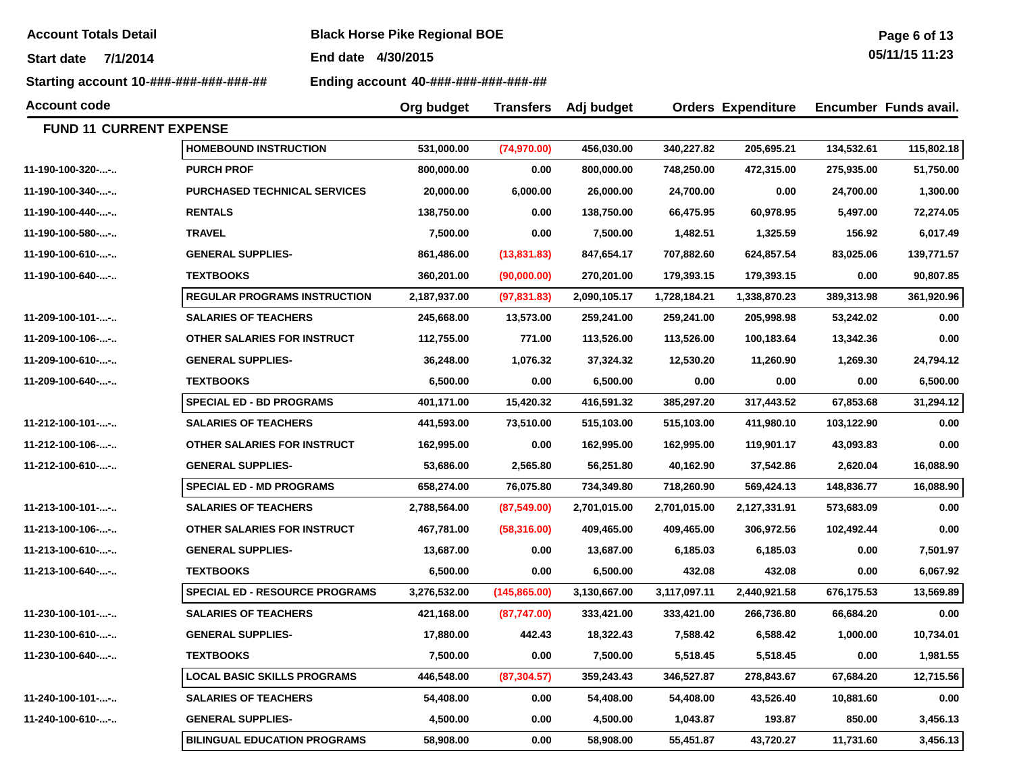**Account Totals Detail Black Horse Pike Regional BOE** 

**Start date 7/1/2014End date 4/30/2015**

**Starting account 10-###-###-###-###-## Ending account 40-###-###-###-###-##**

| <b>Account code</b>            |                                       | Org budget   | <b>Transfers</b> | Adj budget   |              | <b>Orders Expenditure</b> |            | Encumber Funds avail. |
|--------------------------------|---------------------------------------|--------------|------------------|--------------|--------------|---------------------------|------------|-----------------------|
| <b>FUND 11 CURRENT EXPENSE</b> |                                       |              |                  |              |              |                           |            |                       |
|                                | <b>HOMEBOUND INSTRUCTION</b>          | 531,000.00   | (74, 970.00)     | 456,030.00   | 340,227.82   | 205,695.21                | 134,532.61 | 115,802.18            |
| 11-190-100-320--               | <b>PURCH PROF</b>                     | 800,000.00   | 0.00             | 800,000.00   | 748,250.00   | 472,315.00                | 275,935.00 | 51,750.00             |
| 11-190-100-340--               | <b>PURCHASED TECHNICAL SERVICES</b>   | 20,000.00    | 6,000.00         | 26,000.00    | 24,700.00    | 0.00                      | 24,700.00  | 1,300.00              |
| 11-190-100-440--               | <b>RENTALS</b>                        | 138,750.00   | 0.00             | 138,750.00   | 66,475.95    | 60,978.95                 | 5,497.00   | 72,274.05             |
| 11-190-100-580--               | <b>TRAVEL</b>                         | 7,500.00     | 0.00             | 7,500.00     | 1,482.51     | 1,325.59                  | 156.92     | 6,017.49              |
| 11-190-100-610--               | <b>GENERAL SUPPLIES-</b>              | 861,486.00   | (13,831.83)      | 847,654.17   | 707,882.60   | 624,857.54                | 83,025.06  | 139,771.57            |
| 11-190-100-640--               | <b>TEXTBOOKS</b>                      | 360,201.00   | (90,000.00)      | 270,201.00   | 179,393.15   | 179,393.15                | 0.00       | 90,807.85             |
|                                | <b>REGULAR PROGRAMS INSTRUCTION</b>   | 2,187,937.00 | (97, 831.83)     | 2,090,105.17 | 1,728,184.21 | 1,338,870.23              | 389,313.98 | 361,920.96            |
| 11-209-100-101--               | <b>SALARIES OF TEACHERS</b>           | 245,668.00   | 13,573.00        | 259,241.00   | 259,241.00   | 205,998.98                | 53,242.02  | 0.00                  |
| 11-209-100-106--               | OTHER SALARIES FOR INSTRUCT           | 112,755.00   | 771.00           | 113,526.00   | 113,526.00   | 100,183.64                | 13,342.36  | 0.00                  |
| 11-209-100-610--               | <b>GENERAL SUPPLIES-</b>              | 36,248.00    | 1,076.32         | 37,324.32    | 12,530.20    | 11,260.90                 | 1,269.30   | 24,794.12             |
| 11-209-100-640--               | <b>TEXTBOOKS</b>                      | 6,500.00     | 0.00             | 6,500.00     | 0.00         | 0.00                      | 0.00       | 6,500.00              |
|                                | <b>SPECIAL ED - BD PROGRAMS</b>       | 401,171.00   | 15,420.32        | 416,591.32   | 385,297.20   | 317,443.52                | 67,853.68  | 31,294.12             |
| 11-212-100-101--               | <b>SALARIES OF TEACHERS</b>           | 441,593.00   | 73,510.00        | 515,103.00   | 515,103.00   | 411,980.10                | 103,122.90 | 0.00                  |
| 11-212-100-106--               | OTHER SALARIES FOR INSTRUCT           | 162,995.00   | 0.00             | 162,995.00   | 162,995.00   | 119,901.17                | 43,093.83  | 0.00                  |
| 11-212-100-610--               | <b>GENERAL SUPPLIES-</b>              | 53,686.00    | 2,565.80         | 56,251.80    | 40,162.90    | 37,542.86                 | 2,620.04   | 16,088.90             |
|                                | <b>SPECIAL ED - MD PROGRAMS</b>       | 658,274.00   | 76,075.80        | 734,349.80   | 718,260.90   | 569,424.13                | 148,836.77 | 16,088.90             |
| 11-213-100-101--               | <b>SALARIES OF TEACHERS</b>           | 2,788,564.00 | (87,549.00)      | 2,701,015.00 | 2,701,015.00 | 2,127,331.91              | 573,683.09 | 0.00                  |
| 11-213-100-106--               | OTHER SALARIES FOR INSTRUCT           | 467,781.00   | (58, 316.00)     | 409,465.00   | 409,465.00   | 306,972.56                | 102,492.44 | 0.00                  |
| 11-213-100-610--               | <b>GENERAL SUPPLIES-</b>              | 13,687.00    | 0.00             | 13,687.00    | 6,185.03     | 6,185.03                  | 0.00       | 7,501.97              |
| 11-213-100-640--               | <b>TEXTBOOKS</b>                      | 6,500.00     | 0.00             | 6,500.00     | 432.08       | 432.08                    | 0.00       | 6,067.92              |
|                                | <b>SPECIAL ED - RESOURCE PROGRAMS</b> | 3,276,532.00 | (145, 865.00)    | 3,130,667.00 | 3,117,097.11 | 2,440,921.58              | 676,175.53 | 13,569.89             |
| 11-230-100-101--               | <b>SALARIES OF TEACHERS</b>           | 421,168.00   | (87,747.00)      | 333,421.00   | 333,421.00   | 266,736.80                | 66,684.20  | 0.00                  |
| 11-230-100-610--               | <b>GENERAL SUPPLIES-</b>              | 17,880.00    | 442.43           | 18,322.43    | 7,588.42     | 6,588.42                  | 1,000.00   | 10,734.01             |
| 11-230-100-640--               | <b>TEXTBOOKS</b>                      | 7,500.00     | 0.00             | 7,500.00     | 5,518.45     | 5,518.45                  | 0.00       | 1,981.55              |
|                                | <b>LOCAL BASIC SKILLS PROGRAMS</b>    | 446,548.00   | (87, 304.57)     | 359,243.43   | 346,527.87   | 278,843.67                | 67,684.20  | 12,715.56             |
| 11-240-100-101--               | <b>SALARIES OF TEACHERS</b>           | 54,408.00    | 0.00             | 54,408.00    | 54,408.00    | 43,526.40                 | 10,881.60  | 0.00                  |
| 11-240-100-610--               | <b>GENERAL SUPPLIES-</b>              | 4,500.00     | 0.00             | 4,500.00     | 1,043.87     | 193.87                    | 850.00     | 3,456.13              |
|                                | <b>BILINGUAL EDUCATION PROGRAMS</b>   | 58,908.00    | 0.00             | 58,908.00    | 55,451.87    | 43,720.27                 | 11,731.60  | 3,456.13              |

**Page 6 of 13 05/11/15 11:23**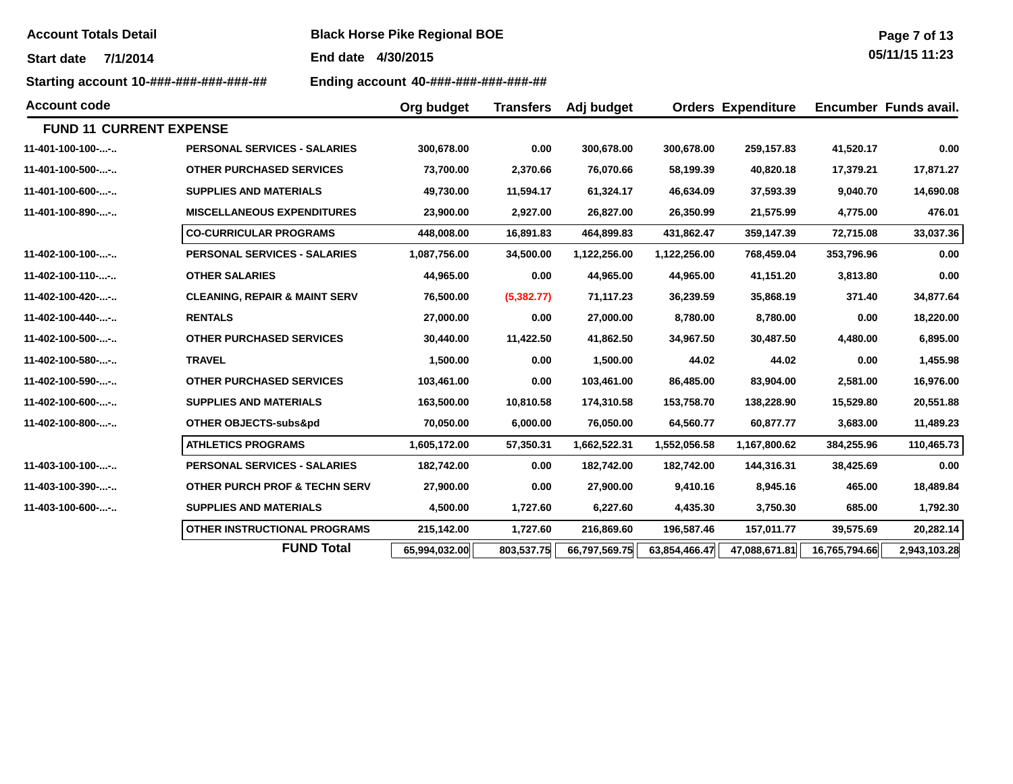**Account Totals Detail Black Horse Pike Regional BOE** 

**End date 4/30/2015**

**Starting account 10-###-###-###-###-## Ending account 40-###-###-###-###-##**

| Page 7 of 13 |  |  |
|--------------|--|--|
| AFMAME AA AA |  |  |

| <b>Account code</b>            |                                          | Org budget    | Transfers  | Adj budget    |               | <b>Orders Expenditure</b> |               | Encumber Funds avail. |
|--------------------------------|------------------------------------------|---------------|------------|---------------|---------------|---------------------------|---------------|-----------------------|
| <b>FUND 11 CURRENT EXPENSE</b> |                                          |               |            |               |               |                           |               |                       |
| 11-401-100-100--               | <b>PERSONAL SERVICES - SALARIES</b>      | 300,678.00    | 0.00       | 300,678.00    | 300,678.00    | 259,157.83                | 41,520.17     | 0.00                  |
| 11-401-100-500--               | <b>OTHER PURCHASED SERVICES</b>          | 73,700.00     | 2,370.66   | 76,070.66     | 58,199.39     | 40,820.18                 | 17,379.21     | 17,871.27             |
| 11-401-100-600--               | <b>SUPPLIES AND MATERIALS</b>            | 49,730.00     | 11,594.17  | 61,324.17     | 46,634.09     | 37,593.39                 | 9,040.70      | 14,690.08             |
| 11-401-100-890--               | <b>MISCELLANEOUS EXPENDITURES</b>        | 23,900.00     | 2,927.00   | 26,827.00     | 26,350.99     | 21,575.99                 | 4,775.00      | 476.01                |
|                                | <b>CO-CURRICULAR PROGRAMS</b>            | 448,008.00    | 16,891.83  | 464,899.83    | 431,862.47    | 359,147.39                | 72,715.08     | 33,037.36             |
| 11-402-100-100--               | <b>PERSONAL SERVICES - SALARIES</b>      | 1,087,756.00  | 34,500.00  | 1,122,256.00  | 1,122,256.00  | 768,459.04                | 353,796.96    | 0.00                  |
| 11-402-100-110--               | <b>OTHER SALARIES</b>                    | 44,965.00     | 0.00       | 44,965.00     | 44,965.00     | 41,151.20                 | 3,813.80      | 0.00                  |
| 11-402-100-420--               | <b>CLEANING, REPAIR &amp; MAINT SERV</b> | 76,500.00     | (5,382.77) | 71,117.23     | 36,239.59     | 35,868.19                 | 371.40        | 34,877.64             |
| 11-402-100-440--               | <b>RENTALS</b>                           | 27,000.00     | 0.00       | 27,000.00     | 8,780.00      | 8,780.00                  | 0.00          | 18,220.00             |
| 11-402-100-500--               | <b>OTHER PURCHASED SERVICES</b>          | 30,440.00     | 11,422.50  | 41,862.50     | 34,967.50     | 30,487.50                 | 4,480.00      | 6,895.00              |
| 11-402-100-580--               | <b>TRAVEL</b>                            | 1,500.00      | 0.00       | 1,500.00      | 44.02         | 44.02                     | 0.00          | 1,455.98              |
| 11-402-100-590--               | <b>OTHER PURCHASED SERVICES</b>          | 103,461.00    | 0.00       | 103,461.00    | 86,485.00     | 83,904.00                 | 2,581.00      | 16,976.00             |
| 11-402-100-600--               | <b>SUPPLIES AND MATERIALS</b>            | 163,500.00    | 10,810.58  | 174,310.58    | 153,758.70    | 138,228.90                | 15,529.80     | 20,551.88             |
| 11-402-100-800--               | <b>OTHER OBJECTS-subs&amp;pd</b>         | 70,050.00     | 6,000.00   | 76,050.00     | 64,560.77     | 60,877.77                 | 3,683.00      | 11,489.23             |
|                                | <b>ATHLETICS PROGRAMS</b>                | 1,605,172.00  | 57,350.31  | 1,662,522.31  | 1,552,056.58  | 1,167,800.62              | 384,255.96    | 110,465.73            |
| 11-403-100-100--               | <b>PERSONAL SERVICES - SALARIES</b>      | 182,742.00    | 0.00       | 182,742.00    | 182,742.00    | 144,316.31                | 38,425.69     | 0.00                  |
| 11-403-100-390--               | <b>OTHER PURCH PROF &amp; TECHN SERV</b> | 27,900.00     | 0.00       | 27,900.00     | 9,410.16      | 8,945.16                  | 465.00        | 18,489.84             |
| 11-403-100-600--               | <b>SUPPLIES AND MATERIALS</b>            | 4,500.00      | 1,727.60   | 6,227.60      | 4,435.30      | 3,750.30                  | 685.00        | 1,792.30              |
|                                | OTHER INSTRUCTIONAL PROGRAMS             | 215,142.00    | 1,727.60   | 216,869.60    | 196,587.46    | 157,011.77                | 39,575.69     | 20,282.14             |
|                                | <b>FUND Total</b>                        | 65,994,032.00 | 803,537.75 | 66,797,569.75 | 63,854,466.47 | 47,088,671.81             | 16,765,794.66 | 2,943,103.28          |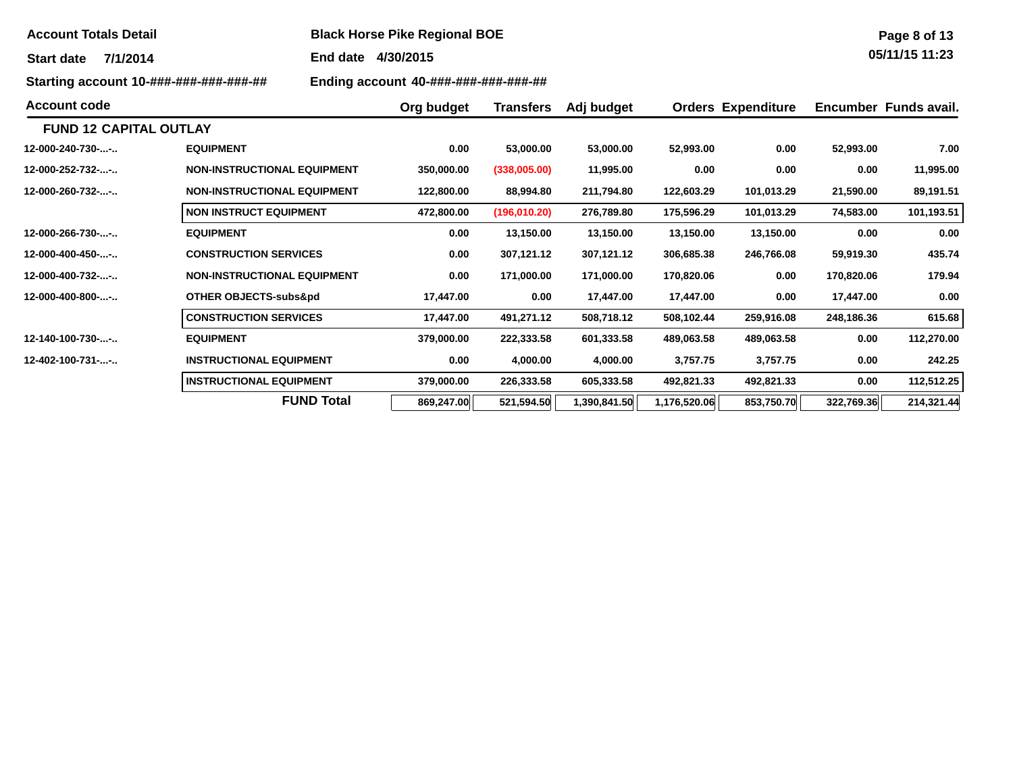**Account Totals Detail Black Horse Pike Regional BOE** 

**End date 4/30/2015**

**Starting account 10-###-###-###-###-## Ending account 40-###-###-###-###-##**

| <b>Account code</b>           |                                    | Org budget | Transfers    | Adj budget   |              | <b>Orders Expenditure</b> |            | Encumber Funds avail. |
|-------------------------------|------------------------------------|------------|--------------|--------------|--------------|---------------------------|------------|-----------------------|
| <b>FUND 12 CAPITAL OUTLAY</b> |                                    |            |              |              |              |                           |            |                       |
| 12-000-240-730--              | <b>EQUIPMENT</b>                   | 0.00       | 53,000.00    | 53,000.00    | 52,993.00    | 0.00                      | 52,993.00  | 7.00                  |
| 12-000-252-732--              | <b>NON-INSTRUCTIONAL EQUIPMENT</b> | 350,000.00 | (338,005.00) | 11,995.00    | 0.00         | 0.00                      | 0.00       | 11,995.00             |
| $12 - 000 - 260 - 732 -  - $  | <b>NON-INSTRUCTIONAL EQUIPMENT</b> | 122,800.00 | 88,994.80    | 211,794.80   | 122,603.29   | 101,013.29                | 21,590.00  | 89,191.51             |
|                               | <b>NON INSTRUCT EQUIPMENT</b>      | 472,800.00 | (196,010.20) | 276,789.80   | 175,596.29   | 101,013.29                | 74,583.00  | 101,193.51            |
| 12-000-266-730--              | <b>EQUIPMENT</b>                   | 0.00       | 13,150.00    | 13,150.00    | 13,150.00    | 13,150.00                 | 0.00       | 0.00                  |
| 12-000-400-450--              | <b>CONSTRUCTION SERVICES</b>       | 0.00       | 307,121.12   | 307,121.12   | 306,685.38   | 246,766.08                | 59,919.30  | 435.74                |
| $12-000-400-732--$            | <b>NON-INSTRUCTIONAL EQUIPMENT</b> | 0.00       | 171,000.00   | 171,000.00   | 170,820.06   | 0.00                      | 170,820.06 | 179.94                |
| 12-000-400-800--              | OTHER OBJECTS-subs&pd              | 17,447.00  | 0.00         | 17,447.00    | 17,447.00    | 0.00                      | 17,447.00  | 0.00                  |
|                               | <b>CONSTRUCTION SERVICES</b>       | 17,447.00  | 491,271.12   | 508,718.12   | 508,102.44   | 259,916.08                | 248,186.36 | 615.68                |
| 12-140-100-730--              | <b>EQUIPMENT</b>                   | 379,000.00 | 222,333.58   | 601,333.58   | 489,063.58   | 489,063.58                | 0.00       | 112,270.00            |
| 12-402-100-731--              | <b>INSTRUCTIONAL EQUIPMENT</b>     | 0.00       | 4,000.00     | 4,000.00     | 3,757.75     | 3,757.75                  | 0.00       | 242.25                |
|                               | <b>INSTRUCTIONAL EQUIPMENT</b>     | 379,000.00 | 226,333.58   | 605,333.58   | 492,821.33   | 492,821.33                | 0.00       | 112,512.25            |
|                               | <b>FUND Total</b>                  | 869,247.00 | 521,594.50   | 1,390,841.50 | 1,176,520.06 | 853,750.70                | 322,769.36 | 214,321.44            |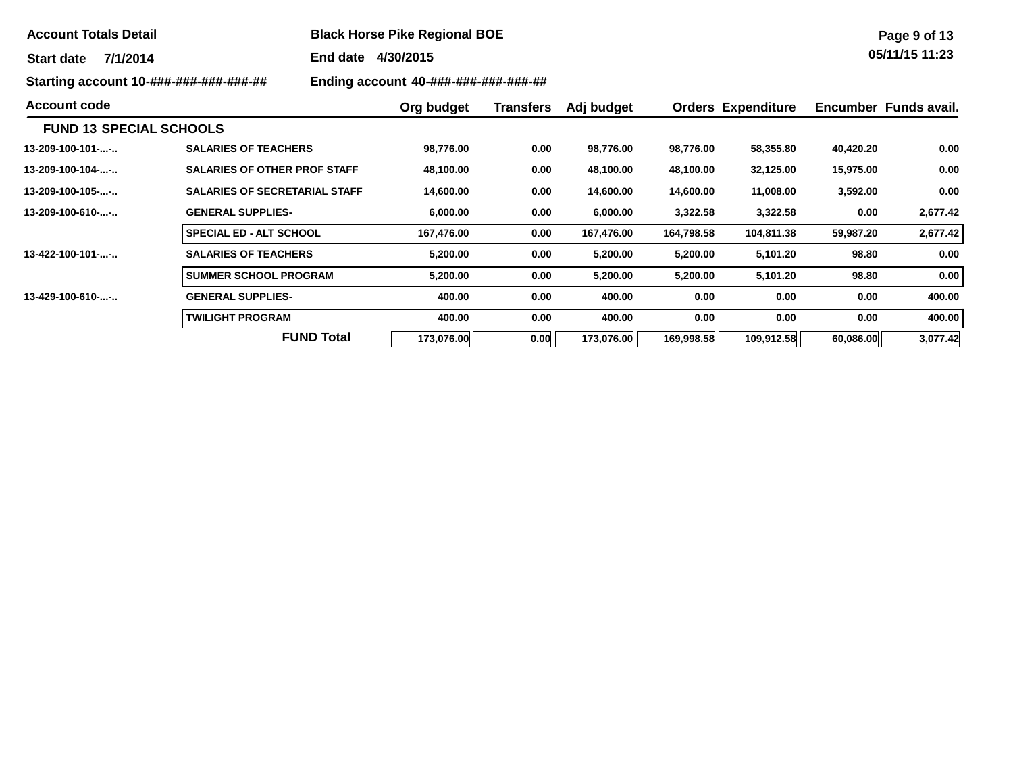**FUND 13 SPECIAL SCHOOLS** 

**Start date 7/1/2014**

**Account code**

**13-209-100-101-...-..**

**13-209-100-104-...-..**

**13-209-100-105-...-..**

**13-209-100-610-...-..**

**13-422-100-101-...-..**

**13-429-100-610-...-..**

**Account Totals Detail Black Horse Pike Regional BOE** 

**End date 4/30/2015**

**Starting account 10-###-###-###-###-### Ending account** 

**SPECIAL ED - ALT SCHOOL 0.00**

**SALARIES OF TEACHERS 0.00**

**SUMMER SCHOOL PROGRAM 0.00**

**GENERAL SUPPLIES- 0.00**

**TWILIGHT PROGRAM 0.00**

**FUND Total**

**Page 9 of 13 05/11/15 11:23**

| ##-###-###-##                        | Ending account $40 - \frac{444}{44} + \frac{444}{44} + \frac{444}{44} + \frac{444}{44}$ |                  |            |           |                           |           |                       |
|--------------------------------------|-----------------------------------------------------------------------------------------|------------------|------------|-----------|---------------------------|-----------|-----------------------|
|                                      | Org budget                                                                              | <b>Transfers</b> | Adj budget |           | <b>Orders Expenditure</b> |           | Encumber Funds avail. |
| <b>IOOLS</b>                         |                                                                                         |                  |            |           |                           |           |                       |
| <b>SALARIES OF TEACHERS</b>          | 98.776.00                                                                               | 0.00             | 98.776.00  | 98.776.00 | 58.355.80                 | 40.420.20 | 0.00                  |
| <b>SALARIES OF OTHER PROF STAFF</b>  | 48.100.00                                                                               | 0.00             | 48.100.00  | 48.100.00 | 32.125.00                 | 15.975.00 | 0.00                  |
| <b>SALARIES OF SECRETARIAL STAFF</b> | 14.600.00                                                                               | 0.00             | 14,600.00  | 14.600.00 | 11.008.00                 | 3.592.00  | 0.00                  |
| <b>GENERAL SUPPLIES-</b>             | 6.000.00                                                                                | 0.00             | 6.000.00   | 3.322.58  | 3.322.58                  | 0.00      | 2.677.42              |

**167,476.00 167,476.00 164,798.58 104,811.38 59,987.20 2,677.42**

**5,200.00 5,200.00 5,200.00 5,101.20 98.80 0.00**

**5,200.00 5,200.00 5,200.00 5,101.20 98.80 0.00**

**400.00 400.00 0.00 0.00 0.00 400.00**

**400.00 400.00 0.00 0.00 0.00 400.00**

**173,076.00 0.00 173,076.00 169,998.58 109,912.58 60,086.00 3,077.42**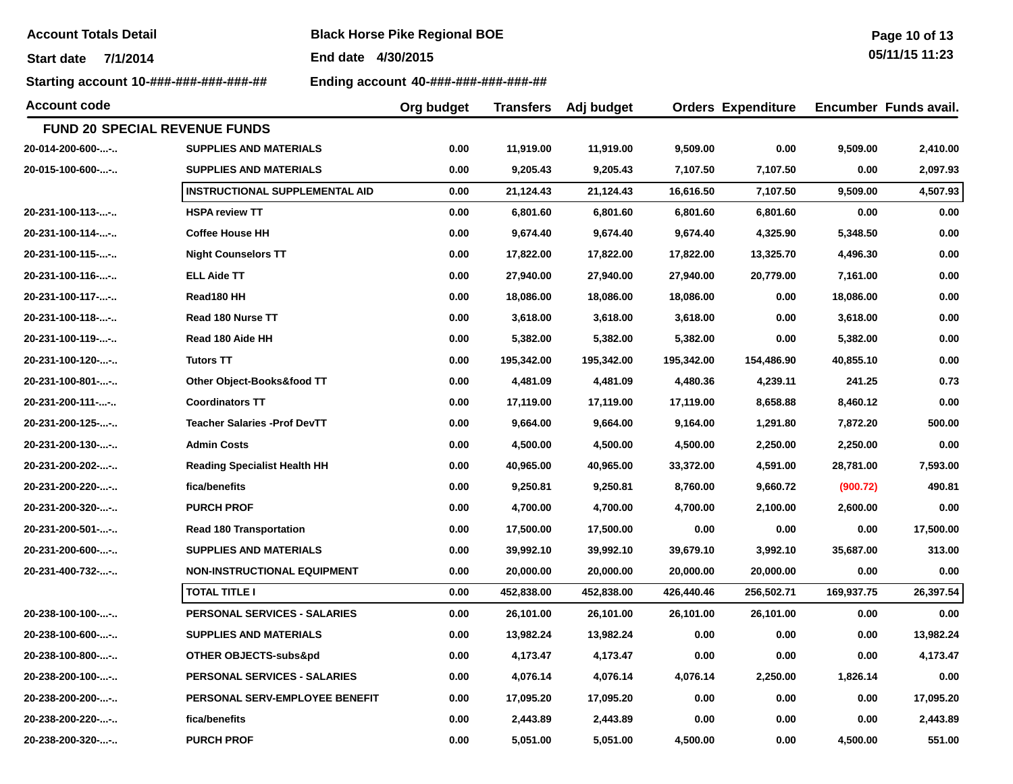**Account Totals Detail Black Horse Pike Regional BOE** 

**End date 4/30/2015**

**Starting account 10-###-###-###-###-## Ending account 40-###-###-###-###-##**

| <b>Account code</b> |                                       | Org budget | <b>Transfers</b> | Adj budget |            | <b>Orders Expenditure</b> |            | Encumber Funds avail. |
|---------------------|---------------------------------------|------------|------------------|------------|------------|---------------------------|------------|-----------------------|
|                     | <b>FUND 20 SPECIAL REVENUE FUNDS</b>  |            |                  |            |            |                           |            |                       |
| 20-014-200-600--    | <b>SUPPLIES AND MATERIALS</b>         | 0.00       | 11,919.00        | 11,919.00  | 9,509.00   | 0.00                      | 9,509.00   | 2,410.00              |
| 20-015-100-600--    | <b>SUPPLIES AND MATERIALS</b>         | 0.00       | 9,205.43         | 9,205.43   | 7,107.50   | 7,107.50                  | 0.00       | 2,097.93              |
|                     | <b>INSTRUCTIONAL SUPPLEMENTAL AID</b> | 0.00       | 21,124.43        | 21,124.43  | 16,616.50  | 7,107.50                  | 9,509.00   | 4,507.93              |
| 20-231-100-113--    | <b>HSPA review TT</b>                 | 0.00       | 6,801.60         | 6,801.60   | 6,801.60   | 6,801.60                  | 0.00       | 0.00                  |
| 20-231-100-114--    | <b>Coffee House HH</b>                | 0.00       | 9,674.40         | 9,674.40   | 9,674.40   | 4,325.90                  | 5,348.50   | 0.00                  |
| 20-231-100-115--    | <b>Night Counselors TT</b>            | 0.00       | 17,822.00        | 17,822.00  | 17,822.00  | 13,325.70                 | 4,496.30   | 0.00                  |
| 20-231-100-116--    | <b>ELL Aide TT</b>                    | 0.00       | 27,940.00        | 27,940.00  | 27,940.00  | 20,779.00                 | 7,161.00   | 0.00                  |
| 20-231-100-117--    | Read180 HH                            | 0.00       | 18,086.00        | 18,086.00  | 18,086.00  | 0.00                      | 18,086.00  | 0.00                  |
| 20-231-100-118--    | Read 180 Nurse TT                     | 0.00       | 3,618.00         | 3,618.00   | 3,618.00   | 0.00                      | 3,618.00   | 0.00                  |
| 20-231-100-119--    | Read 180 Aide HH                      | 0.00       | 5,382.00         | 5,382.00   | 5,382.00   | 0.00                      | 5,382.00   | 0.00                  |
| 20-231-100-120--    | <b>Tutors TT</b>                      | 0.00       | 195,342.00       | 195,342.00 | 195,342.00 | 154,486.90                | 40,855.10  | 0.00                  |
| 20-231-100-801--    | Other Object-Books&food TT            | 0.00       | 4,481.09         | 4,481.09   | 4,480.36   | 4,239.11                  | 241.25     | 0.73                  |
| 20-231-200-111--    | <b>Coordinators TT</b>                | 0.00       | 17,119.00        | 17,119.00  | 17,119.00  | 8,658.88                  | 8,460.12   | 0.00                  |
| 20-231-200-125--    | <b>Teacher Salaries -Prof DevTT</b>   | 0.00       | 9,664.00         | 9,664.00   | 9,164.00   | 1,291.80                  | 7,872.20   | 500.00                |
| 20-231-200-130--    | <b>Admin Costs</b>                    | 0.00       | 4,500.00         | 4,500.00   | 4,500.00   | 2,250.00                  | 2,250.00   | 0.00                  |
| 20-231-200-202--    | <b>Reading Specialist Health HH</b>   | 0.00       | 40,965.00        | 40,965.00  | 33,372.00  | 4,591.00                  | 28,781.00  | 7,593.00              |
| 20-231-200-220--    | fica/benefits                         | 0.00       | 9,250.81         | 9,250.81   | 8,760.00   | 9,660.72                  | (900.72)   | 490.81                |
| 20-231-200-320--    | <b>PURCH PROF</b>                     | 0.00       | 4,700.00         | 4,700.00   | 4,700.00   | 2,100.00                  | 2,600.00   | 0.00                  |
| 20-231-200-501--    | <b>Read 180 Transportation</b>        | 0.00       | 17,500.00        | 17,500.00  | 0.00       | 0.00                      | 0.00       | 17,500.00             |
| 20-231-200-600--    | <b>SUPPLIES AND MATERIALS</b>         | 0.00       | 39,992.10        | 39,992.10  | 39,679.10  | 3,992.10                  | 35,687.00  | 313.00                |
| 20-231-400-732--    | <b>NON-INSTRUCTIONAL EQUIPMENT</b>    | 0.00       | 20,000.00        | 20,000.00  | 20,000.00  | 20,000.00                 | 0.00       | 0.00                  |
|                     | <b>TOTAL TITLE I</b>                  | 0.00       | 452,838.00       | 452,838.00 | 426,440.46 | 256,502.71                | 169,937.75 | 26,397.54             |
| 20-238-100-100--    | PERSONAL SERVICES - SALARIES          | 0.00       | 26,101.00        | 26,101.00  | 26,101.00  | 26,101.00                 | 0.00       | 0.00                  |
| 20-238-100-600--    | <b>SUPPLIES AND MATERIALS</b>         | 0.00       | 13,982.24        | 13,982.24  | 0.00       | 0.00                      | 0.00       | 13,982.24             |
| 20-238-100-800--    | OTHER OBJECTS-subs&pd                 | 0.00       | 4,173.47         | 4,173.47   | 0.00       | 0.00                      | 0.00       | 4,173.47              |
| 20-238-200-100--    | <b>PERSONAL SERVICES - SALARIES</b>   | 0.00       | 4,076.14         | 4,076.14   | 4,076.14   | 2,250.00                  | 1,826.14   | 0.00                  |
| 20-238-200-200--    | PERSONAL SERV-EMPLOYEE BENEFIT        | 0.00       | 17,095.20        | 17,095.20  | 0.00       | 0.00                      | 0.00       | 17,095.20             |
| 20-238-200-220--    | fica/benefits                         | 0.00       | 2,443.89         | 2,443.89   | 0.00       | 0.00                      | 0.00       | 2,443.89              |
| 20-238-200-320--    | <b>PURCH PROF</b>                     | 0.00       | 5,051.00         | 5,051.00   | 4,500.00   | 0.00                      | 4,500.00   | 551.00                |

**Page 10 of 13 05/11/15 11:23**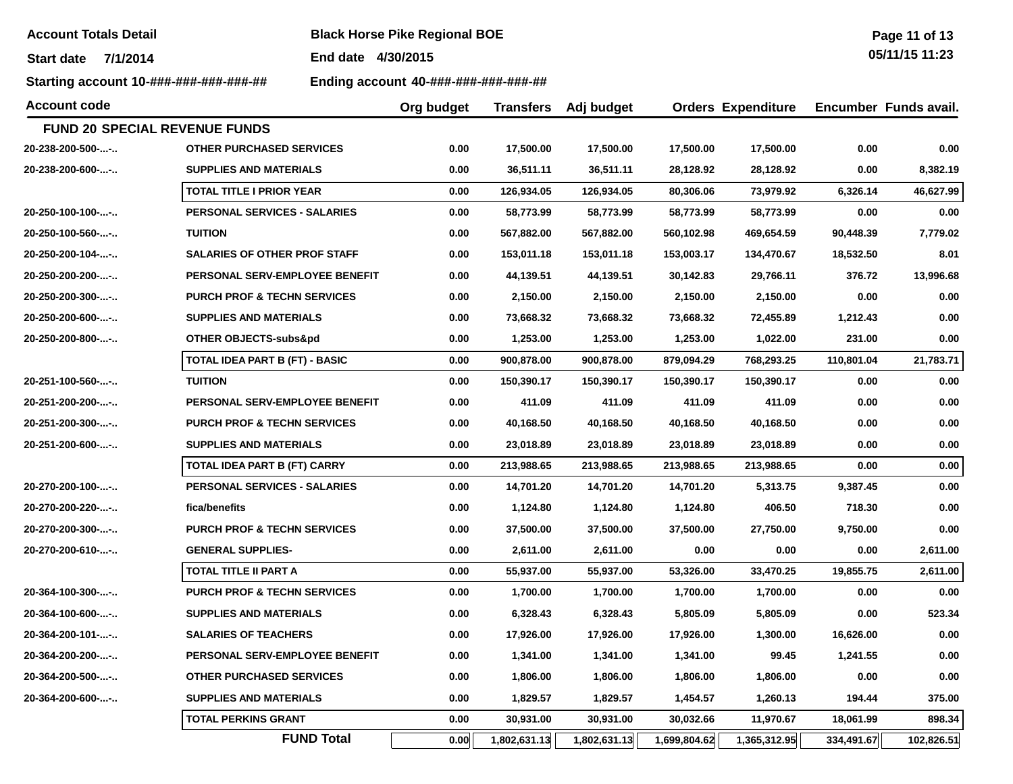**Account Totals Detail Black Horse Pike Regional BOE** 

**End date 4/30/2015**

**Starting account 10-###-###-###-###-## Ending account 40-###-###-###-###-##**

| <b>Account code</b> |                                        | Org budget | <b>Transfers</b> | Adj budget   |              | <b>Orders Expenditure</b> |            | Encumber Funds avail. |
|---------------------|----------------------------------------|------------|------------------|--------------|--------------|---------------------------|------------|-----------------------|
|                     | FUND 20 SPECIAL REVENUE FUNDS          |            |                  |              |              |                           |            |                       |
| 20-238-200-500--    | <b>OTHER PURCHASED SERVICES</b>        | 0.00       | 17,500.00        | 17,500.00    | 17,500.00    | 17,500.00                 | 0.00       | 0.00                  |
| 20-238-200-600--    | <b>SUPPLIES AND MATERIALS</b>          | 0.00       | 36,511.11        | 36,511.11    | 28,128.92    | 28,128.92                 | 0.00       | 8,382.19              |
|                     | <b>TOTAL TITLE I PRIOR YEAR</b>        | 0.00       | 126,934.05       | 126,934.05   | 80,306.06    | 73,979.92                 | 6,326.14   | 46,627.99             |
| 20-250-100-100--    | <b>PERSONAL SERVICES - SALARIES</b>    | 0.00       | 58,773.99        | 58,773.99    | 58,773.99    | 58,773.99                 | 0.00       | 0.00                  |
| 20-250-100-560--    | <b>TUITION</b>                         | 0.00       | 567,882.00       | 567,882.00   | 560,102.98   | 469,654.59                | 90,448.39  | 7,779.02              |
| 20-250-200-104--    | <b>SALARIES OF OTHER PROF STAFF</b>    | 0.00       | 153,011.18       | 153,011.18   | 153,003.17   | 134,470.67                | 18,532.50  | 8.01                  |
| 20-250-200-200--    | PERSONAL SERV-EMPLOYEE BENEFIT         | 0.00       | 44,139.51        | 44,139.51    | 30,142.83    | 29,766.11                 | 376.72     | 13,996.68             |
| 20-250-200-300--    | <b>PURCH PROF &amp; TECHN SERVICES</b> | 0.00       | 2,150.00         | 2,150.00     | 2,150.00     | 2,150.00                  | 0.00       | 0.00                  |
| 20-250-200-600--    | <b>SUPPLIES AND MATERIALS</b>          | 0.00       | 73,668.32        | 73,668.32    | 73,668.32    | 72,455.89                 | 1,212.43   | 0.00                  |
| 20-250-200-800--    | <b>OTHER OBJECTS-subs&amp;pd</b>       | 0.00       | 1,253.00         | 1,253.00     | 1,253.00     | 1,022.00                  | 231.00     | 0.00                  |
|                     | TOTAL IDEA PART B (FT) - BASIC         | 0.00       | 900,878.00       | 900,878.00   | 879,094.29   | 768,293.25                | 110,801.04 | 21,783.71             |
| 20-251-100-560--    | <b>TUITION</b>                         | 0.00       | 150,390.17       | 150,390.17   | 150,390.17   | 150,390.17                | 0.00       | 0.00                  |
| 20-251-200-200--    | PERSONAL SERV-EMPLOYEE BENEFIT         | 0.00       | 411.09           | 411.09       | 411.09       | 411.09                    | 0.00       | 0.00                  |
| 20-251-200-300--    | <b>PURCH PROF &amp; TECHN SERVICES</b> | 0.00       | 40,168.50        | 40,168.50    | 40,168.50    | 40,168.50                 | 0.00       | 0.00                  |
| 20-251-200-600--    | <b>SUPPLIES AND MATERIALS</b>          | 0.00       | 23,018.89        | 23,018.89    | 23,018.89    | 23,018.89                 | 0.00       | 0.00                  |
|                     | TOTAL IDEA PART B (FT) CARRY           | 0.00       | 213,988.65       | 213,988.65   | 213,988.65   | 213,988.65                | 0.00       | 0.00                  |
| 20-270-200-100--    | <b>PERSONAL SERVICES - SALARIES</b>    | 0.00       | 14,701.20        | 14,701.20    | 14,701.20    | 5,313.75                  | 9,387.45   | 0.00                  |
| 20-270-200-220--    | fica/benefits                          | 0.00       | 1,124.80         | 1,124.80     | 1,124.80     | 406.50                    | 718.30     | 0.00                  |
| 20-270-200-300--    | <b>PURCH PROF &amp; TECHN SERVICES</b> | 0.00       | 37,500.00        | 37,500.00    | 37,500.00    | 27,750.00                 | 9,750.00   | 0.00                  |
| 20-270-200-610--    | <b>GENERAL SUPPLIES-</b>               | 0.00       | 2,611.00         | 2,611.00     | 0.00         | 0.00                      | 0.00       | 2,611.00              |
|                     | TOTAL TITLE II PART A                  | 0.00       | 55,937.00        | 55,937.00    | 53,326.00    | 33,470.25                 | 19,855.75  | 2,611.00              |
| 20-364-100-300--    | <b>PURCH PROF &amp; TECHN SERVICES</b> | 0.00       | 1,700.00         | 1,700.00     | 1,700.00     | 1,700.00                  | 0.00       | 0.00                  |
| 20-364-100-600--    | <b>SUPPLIES AND MATERIALS</b>          | 0.00       | 6,328.43         | 6,328.43     | 5,805.09     | 5,805.09                  | 0.00       | 523.34                |
| 20-364-200-101--    | <b>SALARIES OF TEACHERS</b>            | 0.00       | 17,926.00        | 17,926.00    | 17,926.00    | 1,300.00                  | 16,626.00  | 0.00                  |
| 20-364-200-200--    | PERSONAL SERV-EMPLOYEE BENEFIT         | 0.00       | 1,341.00         | 1,341.00     | 1,341.00     | 99.45                     | 1,241.55   | 0.00                  |
| 20-364-200-500--    | <b>OTHER PURCHASED SERVICES</b>        | 0.00       | 1,806.00         | 1,806.00     | 1,806.00     | 1,806.00                  | 0.00       | 0.00                  |
| 20-364-200-600--    | <b>SUPPLIES AND MATERIALS</b>          | 0.00       | 1,829.57         | 1,829.57     | 1,454.57     | 1,260.13                  | 194.44     | 375.00                |
|                     | <b>TOTAL PERKINS GRANT</b>             | 0.00       | 30,931.00        | 30,931.00    | 30,032.66    | 11,970.67                 | 18,061.99  | 898.34                |
|                     | <b>FUND Total</b>                      | 0.00       | 1,802,631.13     | 1,802,631.13 | 1,699,804.62 | 1,365,312.95              | 334,491.67 | 102,826.51            |

**Page 11 of 13 05/11/15 11:23**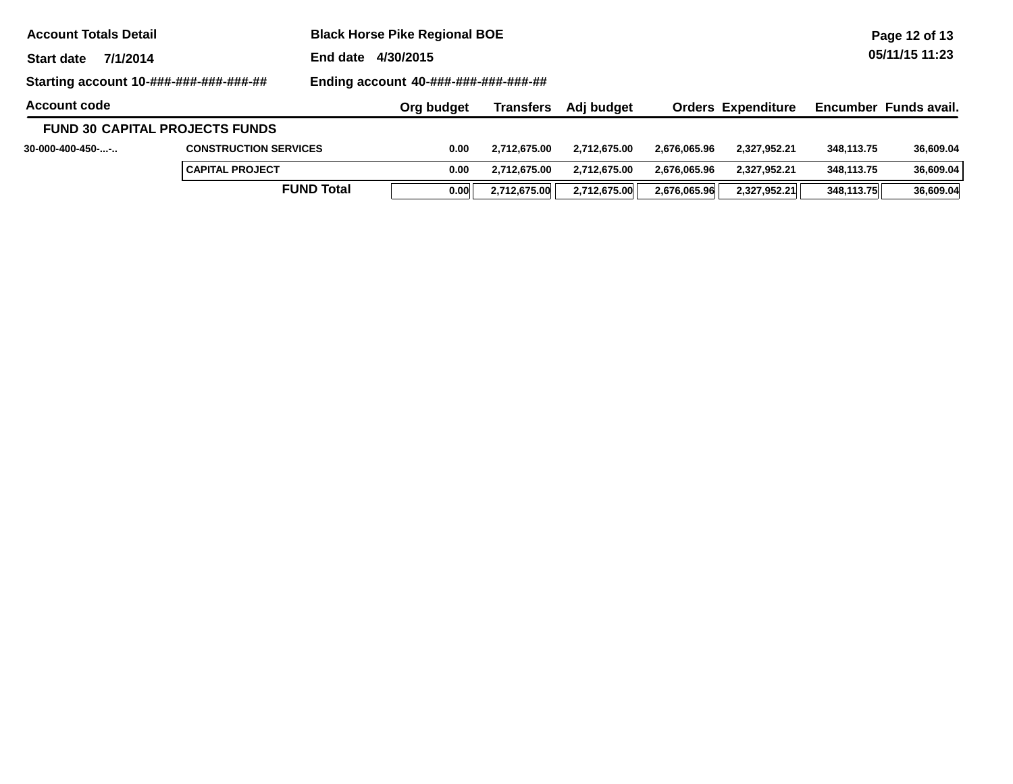| <b>Account Totals Detail</b>           |                                       |                       | <b>Black Horse Pike Regional BOE</b> |                  |              |              |                           |            |                       |  |
|----------------------------------------|---------------------------------------|-----------------------|--------------------------------------|------------------|--------------|--------------|---------------------------|------------|-----------------------|--|
| 7/1/2014<br><b>Start date</b>          |                                       | 4/30/2015<br>End date |                                      |                  |              |              |                           |            | 05/11/15 11:23        |  |
| Starting account 10-###-###-###-###-## |                                       |                       | Ending account 40-###-###-###-###-## |                  |              |              |                           |            |                       |  |
| <b>Account code</b>                    |                                       |                       | Org budget                           | <b>Transfers</b> | Adj budget   |              | <b>Orders Expenditure</b> |            | Encumber Funds avail. |  |
|                                        | <b>FUND 30 CAPITAL PROJECTS FUNDS</b> |                       |                                      |                  |              |              |                           |            |                       |  |
| $30-000-400-450-$ -                    | <b>CONSTRUCTION SERVICES</b>          |                       | 0.00                                 | 2.712.675.00     | 2.712.675.00 | 2.676.065.96 | 2.327.952.21              | 348.113.75 | 36,609,04             |  |
|                                        | <b>CAPITAL PROJECT</b>                |                       | 0.00                                 | 2,712,675.00     | 2,712,675.00 | 2,676,065.96 | 2,327,952.21              | 348,113.75 | 36,609.04             |  |
|                                        |                                       | <b>FUND Total</b>     | 0.00                                 | 2,712,675.00     | 2.712.675.00 | 2.676.065.96 | 2,327,952.21              | 348,113.75 | 36,609.04             |  |